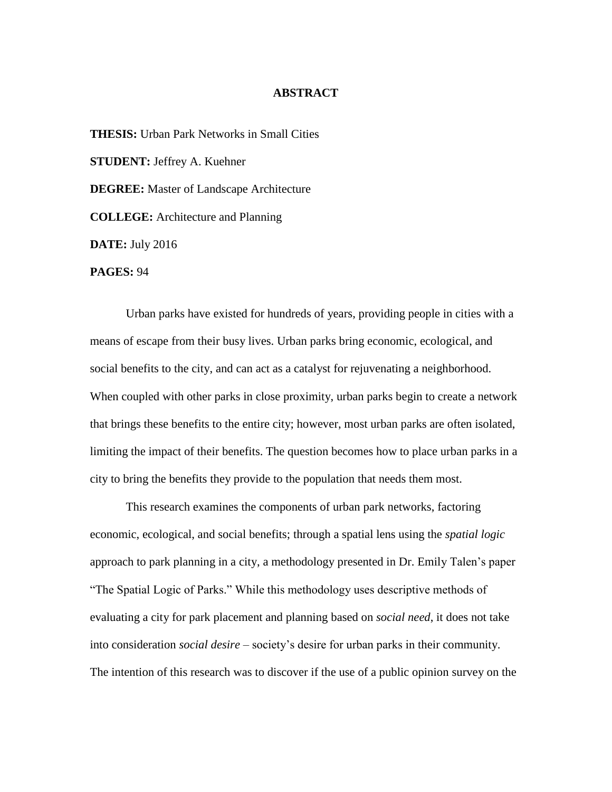## **ABSTRACT**

**THESIS:** Urban Park Networks in Small Cities **STUDENT:** Jeffrey A. Kuehner **DEGREE:** Master of Landscape Architecture **COLLEGE:** Architecture and Planning **DATE:** July 2016 **PAGES:** 94

Urban parks have existed for hundreds of years, providing people in cities with a means of escape from their busy lives. Urban parks bring economic, ecological, and social benefits to the city, and can act as a catalyst for rejuvenating a neighborhood. When coupled with other parks in close proximity, urban parks begin to create a network that brings these benefits to the entire city; however, most urban parks are often isolated, limiting the impact of their benefits. The question becomes how to place urban parks in a city to bring the benefits they provide to the population that needs them most.

This research examines the components of urban park networks, factoring economic, ecological, and social benefits; through a spatial lens using the *spatial logic* approach to park planning in a city, a methodology presented in Dr. Emily Talen's paper "The Spatial Logic of Parks." While this methodology uses descriptive methods of evaluating a city for park placement and planning based on *social need*, it does not take into consideration *social desire* – society's desire for urban parks in their community. The intention of this research was to discover if the use of a public opinion survey on the